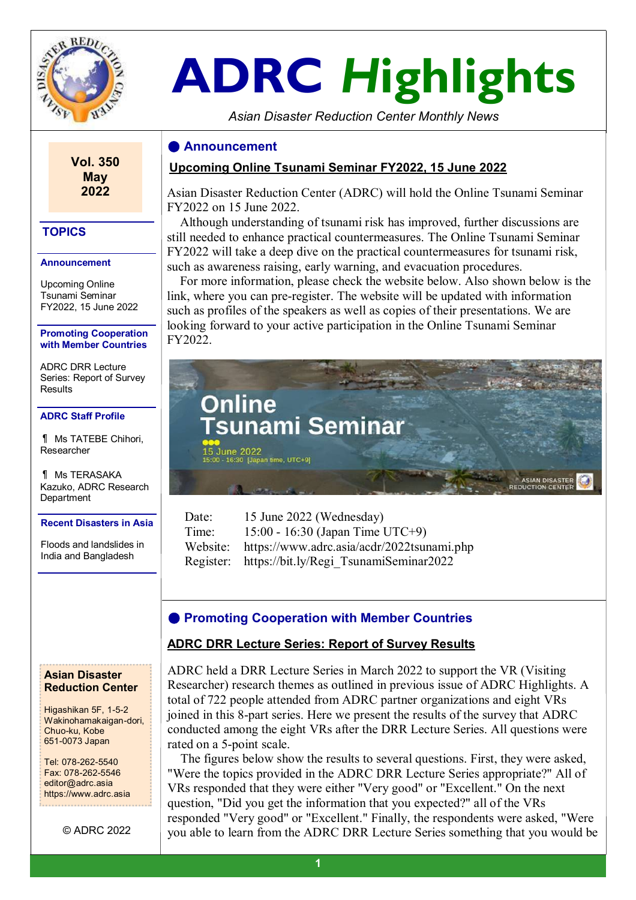

**Vol. 350 May 2022** 

# **ADRC** *H***ighlights**

*Asian Disaster Reduction Center Monthly News*

## **● Announcement**

## **Upcoming Online Tsunami Seminar FY2022, 15 June 2022**

Asian Disaster Reduction Center (ADRC) will hold the Online Tsunami Seminar FY2022 on 15 June 2022.

 Although understanding of tsunami risk has improved, further discussions are still needed to enhance practical countermeasures. The Online Tsunami Seminar FY2022 will take a deep dive on the practical countermeasures for tsunami risk, such as awareness raising, early warning, and evacuation procedures.

 For more information, please check the website below. Also shown below is the link, where you can pre-register. The website will be updated with information such as profiles of the speakers as well as copies of their presentations. We are looking forward to your active participation in the Online Tsunami Seminar FY2022.



| Date: | 15 June 2022 (Wednesday)                            |
|-------|-----------------------------------------------------|
| Time: | 15:00 - 16:30 (Japan Time UTC+9)                    |
|       | Website: https://www.adrc.asia/acdr/2022tsunami.php |
|       | Register: https://bit.ly/Regi TsunamiSeminar2022    |

# **● Promoting Cooperation with Member Countries**

## **ADRC DRR Lecture Series: Report of Survey Results**

ADRC held a DRR Lecture Series in March 2022 to support the VR (Visiting Researcher) research themes as outlined in previous issue of ADRC Highlights. A total of 722 people attended from ADRC partner organizations and eight VRs joined in this 8-part series. Here we present the results of the survey that ADRC conducted among the eight VRs after the DRR Lecture Series. All questions were rated on a 5-point scale.

 The figures below show the results to several questions. First, they were asked, "Were the topics provided in the ADRC DRR Lecture Series appropriate?" All of VRs responded that they were either "Very good" or "Excellent." On the next question, "Did you get the information that you expected?" all of the VRs responded "Very good" or "Excellent." Finally, the respondents were asked, "Were you able to learn from the ADRC DRR Lecture Series something that you would be

# **TOPICS**

#### **Announcement**

Upcoming Online Tsunami Seminar FY2022, 15 June 2022

#### **Promoting Cooperation with Member Countries**

ADRC DRR Lecture Series: Report of Survey Results

#### **ADRC Staff Profile**

¶ Ms TATEBE Chihori, Researcher

¶ Ms TERASAKA Kazuko, ADRC Research **Department** 

#### **Recent Disasters in Asia**

Floods and landslides in India and Bangladesh

#### **Asian Disaster Reduction Center**

Higashikan 5F, 1-5-2 Wakinohamakaigan-dori, Chuo-ku, Kobe 651-0073 Japan

Tel: 078-262-5540 Fax: 078-262-5546 editor@adrc.asia https://www.adrc.asia

© ADRC 2022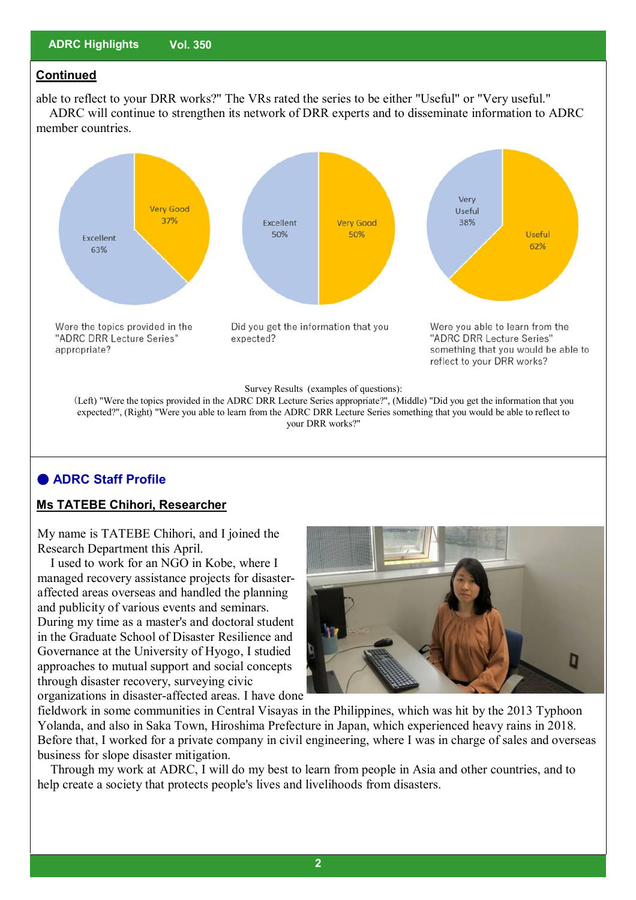## **Continued**

able to reflect to your DRR works?" The VRs rated the series to be either "Useful" or "Very useful." ADRC will continue to strengthen its network of DRR experts and to disseminate information to ADRC member countries.



# **● ADRC Staff Profile**

### **Ms TATEBE Chihori, Researcher**

My name is TATEBE Chihori, and I joined the Research Department this April.

 I used to work for an NGO in Kobe, where I managed recovery assistance projects for disasteraffected areas overseas and handled the planning and publicity of various events and seminars. During my time as a master's and doctoral student in the Graduate School of Disaster Resilience and Governance at the University of Hyogo, I studied approaches to mutual support and social concepts through disaster recovery, surveying civic

D

organizations in disaster-affected areas. I have done

fieldwork in some communities in Central Visayas in the Philippines, which was hit by the 2013 Typhoon Yolanda, and also in Saka Town, Hiroshima Prefecture in Japan, which experienced heavy rains in 2018. Before that, I worked for a private company in civil engineering, where I was in charge of sales and overseas business for slope disaster mitigation.

 Through my work at ADRC, I will do my best to learn from people in Asia and other countries, and to help create a society that protects people's lives and livelihoods from disasters.